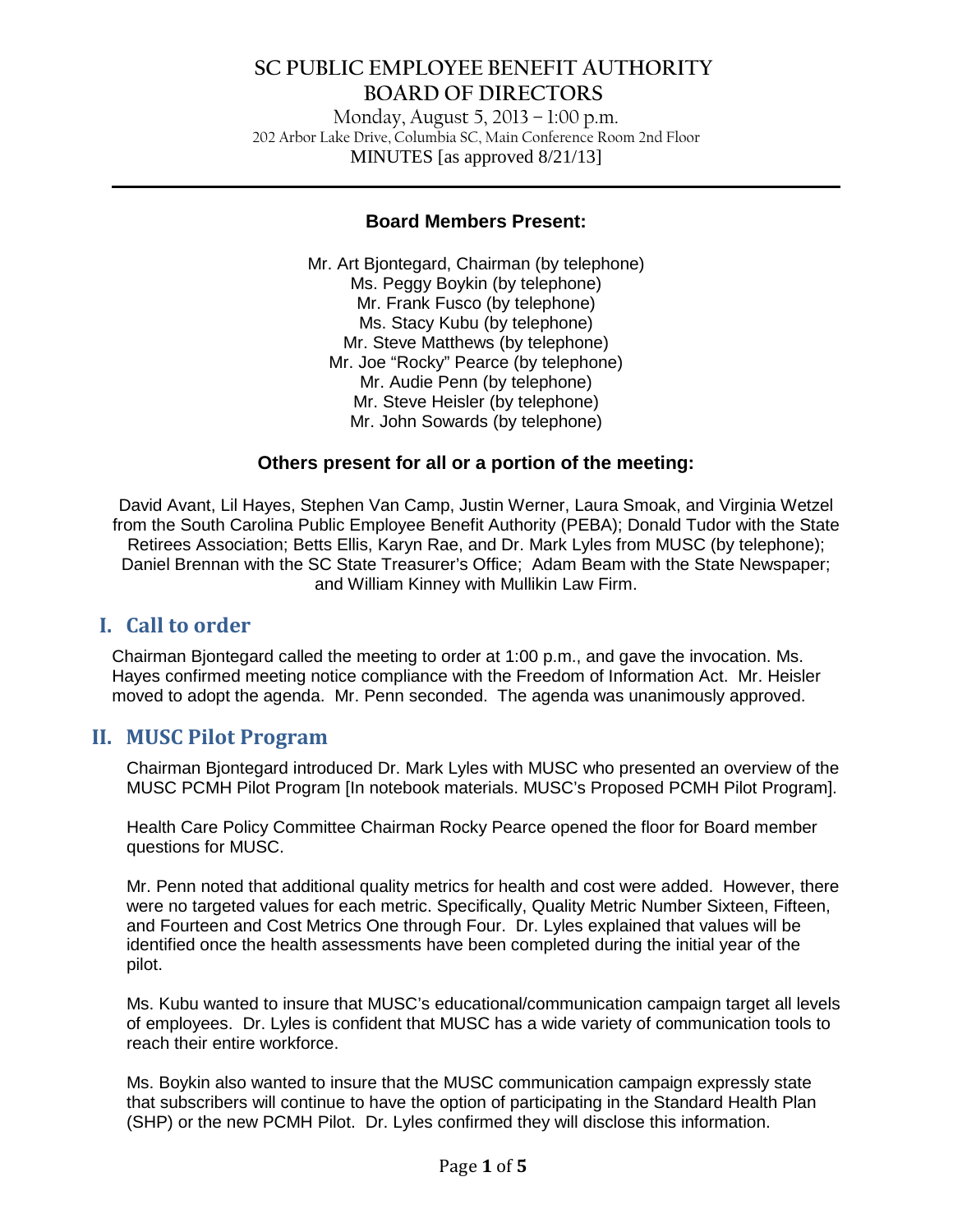Monday, August 5, 2013 – 1:00 p.m. 202 Arbor Lake Drive, Columbia SC, Main Conference Room 2nd Floor MINUTES [as approved 8/21/13]

**\_\_\_\_\_\_\_\_\_\_\_\_\_\_\_\_\_\_\_\_\_\_\_\_\_\_\_\_\_\_\_\_\_\_\_\_\_\_\_\_\_\_\_\_\_\_\_\_\_\_\_\_\_\_\_\_\_\_\_\_\_\_\_\_\_\_\_\_\_\_\_\_\_\_\_\_\_\_**

### **Board Members Present:**

Mr. Art Bjontegard, Chairman (by telephone) Ms. Peggy Boykin (by telephone) Mr. Frank Fusco (by telephone) Ms. Stacy Kubu (by telephone) Mr. Steve Matthews (by telephone) Mr. Joe "Rocky" Pearce (by telephone) Mr. Audie Penn (by telephone) Mr. Steve Heisler (by telephone) Mr. John Sowards (by telephone)

### **Others present for all or a portion of the meeting:**

David Avant, Lil Hayes, Stephen Van Camp, Justin Werner, Laura Smoak, and Virginia Wetzel from the South Carolina Public Employee Benefit Authority (PEBA); Donald Tudor with the State Retirees Association; Betts Ellis, Karyn Rae, and Dr. Mark Lyles from MUSC (by telephone); Daniel Brennan with the SC State Treasurer's Office; Adam Beam with the State Newspaper; and William Kinney with Mullikin Law Firm.

### **I. Call to order**

Chairman Bjontegard called the meeting to order at 1:00 p.m., and gave the invocation. Ms. Hayes confirmed meeting notice compliance with the Freedom of Information Act. Mr. Heisler moved to adopt the agenda. Mr. Penn seconded. The agenda was unanimously approved.

### **II. MUSC Pilot Program**

Chairman Bjontegard introduced Dr. Mark Lyles with MUSC who presented an overview of the MUSC PCMH Pilot Program [In notebook materials. MUSC's Proposed PCMH Pilot Program].

Health Care Policy Committee Chairman Rocky Pearce opened the floor for Board member questions for MUSC.

Mr. Penn noted that additional quality metrics for health and cost were added. However, there were no targeted values for each metric. Specifically, Quality Metric Number Sixteen, Fifteen, and Fourteen and Cost Metrics One through Four. Dr. Lyles explained that values will be identified once the health assessments have been completed during the initial year of the pilot.

Ms. Kubu wanted to insure that MUSC's educational/communication campaign target all levels of employees. Dr. Lyles is confident that MUSC has a wide variety of communication tools to reach their entire workforce.

Ms. Boykin also wanted to insure that the MUSC communication campaign expressly state that subscribers will continue to have the option of participating in the Standard Health Plan (SHP) or the new PCMH Pilot. Dr. Lyles confirmed they will disclose this information.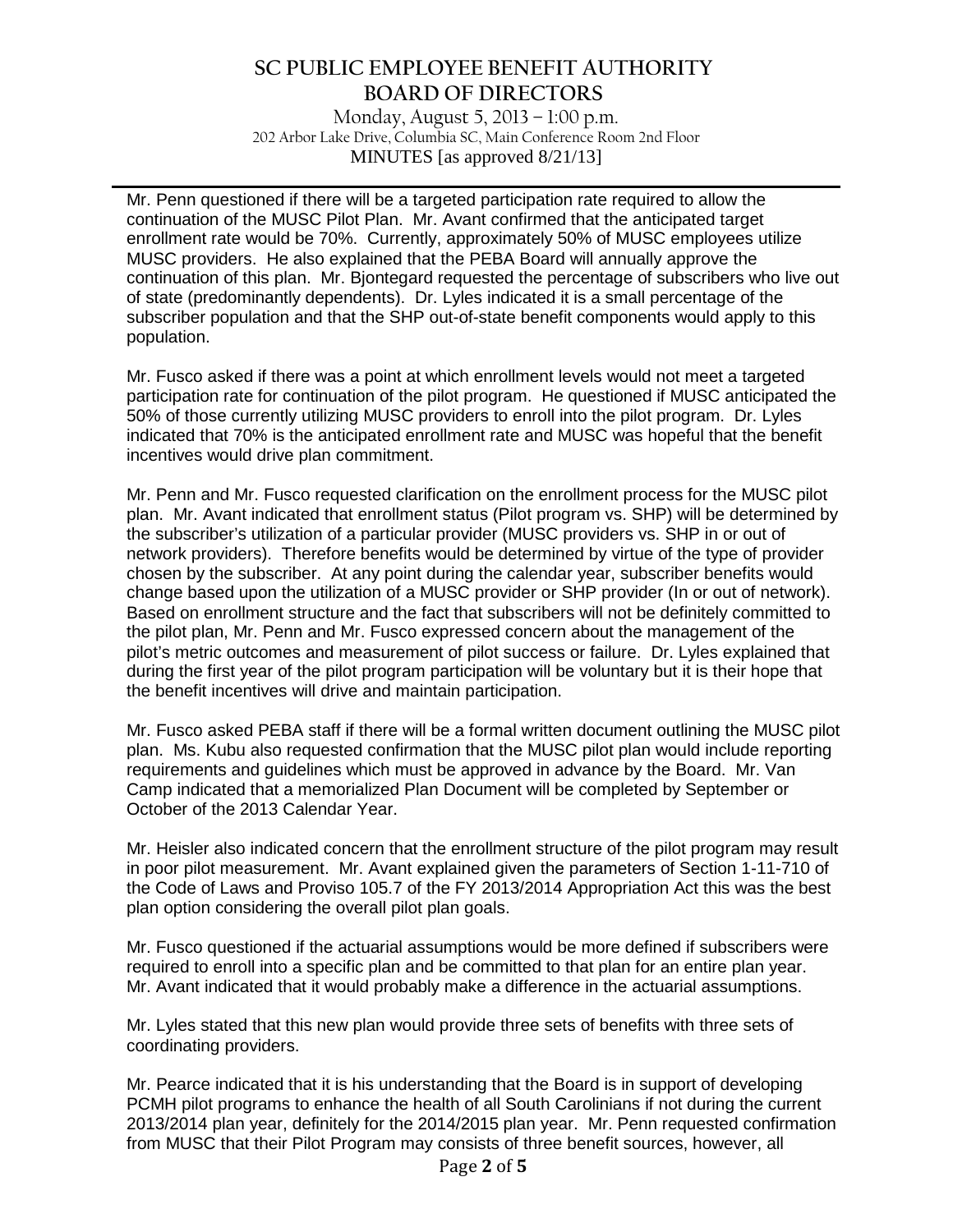Monday, August 5, 2013 – 1:00 p.m. 202 Arbor Lake Drive, Columbia SC, Main Conference Room 2nd Floor MINUTES [as approved 8/21/13]

**\_\_\_\_\_\_\_\_\_\_\_\_\_\_\_\_\_\_\_\_\_\_\_\_\_\_\_\_\_\_\_\_\_\_\_\_\_\_\_\_\_\_\_\_\_\_\_\_\_\_\_\_\_\_\_\_\_\_\_\_\_\_\_\_\_\_\_\_\_\_\_\_\_\_\_\_\_\_**

Mr. Penn questioned if there will be a targeted participation rate required to allow the continuation of the MUSC Pilot Plan. Mr. Avant confirmed that the anticipated target enrollment rate would be 70%. Currently, approximately 50% of MUSC employees utilize MUSC providers. He also explained that the PEBA Board will annually approve the continuation of this plan. Mr. Bjontegard requested the percentage of subscribers who live out of state (predominantly dependents). Dr. Lyles indicated it is a small percentage of the subscriber population and that the SHP out-of-state benefit components would apply to this population.

Mr. Fusco asked if there was a point at which enrollment levels would not meet a targeted participation rate for continuation of the pilot program. He questioned if MUSC anticipated the 50% of those currently utilizing MUSC providers to enroll into the pilot program. Dr. Lyles indicated that 70% is the anticipated enrollment rate and MUSC was hopeful that the benefit incentives would drive plan commitment.

Mr. Penn and Mr. Fusco requested clarification on the enrollment process for the MUSC pilot plan. Mr. Avant indicated that enrollment status (Pilot program vs. SHP) will be determined by the subscriber's utilization of a particular provider (MUSC providers vs. SHP in or out of network providers). Therefore benefits would be determined by virtue of the type of provider chosen by the subscriber. At any point during the calendar year, subscriber benefits would change based upon the utilization of a MUSC provider or SHP provider (In or out of network). Based on enrollment structure and the fact that subscribers will not be definitely committed to the pilot plan, Mr. Penn and Mr. Fusco expressed concern about the management of the pilot's metric outcomes and measurement of pilot success or failure. Dr. Lyles explained that during the first year of the pilot program participation will be voluntary but it is their hope that the benefit incentives will drive and maintain participation.

Mr. Fusco asked PEBA staff if there will be a formal written document outlining the MUSC pilot plan. Ms. Kubu also requested confirmation that the MUSC pilot plan would include reporting requirements and guidelines which must be approved in advance by the Board. Mr. Van Camp indicated that a memorialized Plan Document will be completed by September or October of the 2013 Calendar Year.

Mr. Heisler also indicated concern that the enrollment structure of the pilot program may result in poor pilot measurement. Mr. Avant explained given the parameters of Section 1-11-710 of the Code of Laws and Proviso 105.7 of the FY 2013/2014 Appropriation Act this was the best plan option considering the overall pilot plan goals.

Mr. Fusco questioned if the actuarial assumptions would be more defined if subscribers were required to enroll into a specific plan and be committed to that plan for an entire plan year. Mr. Avant indicated that it would probably make a difference in the actuarial assumptions.

Mr. Lyles stated that this new plan would provide three sets of benefits with three sets of coordinating providers.

Mr. Pearce indicated that it is his understanding that the Board is in support of developing PCMH pilot programs to enhance the health of all South Carolinians if not during the current 2013/2014 plan year, definitely for the 2014/2015 plan year. Mr. Penn requested confirmation from MUSC that their Pilot Program may consists of three benefit sources, however, all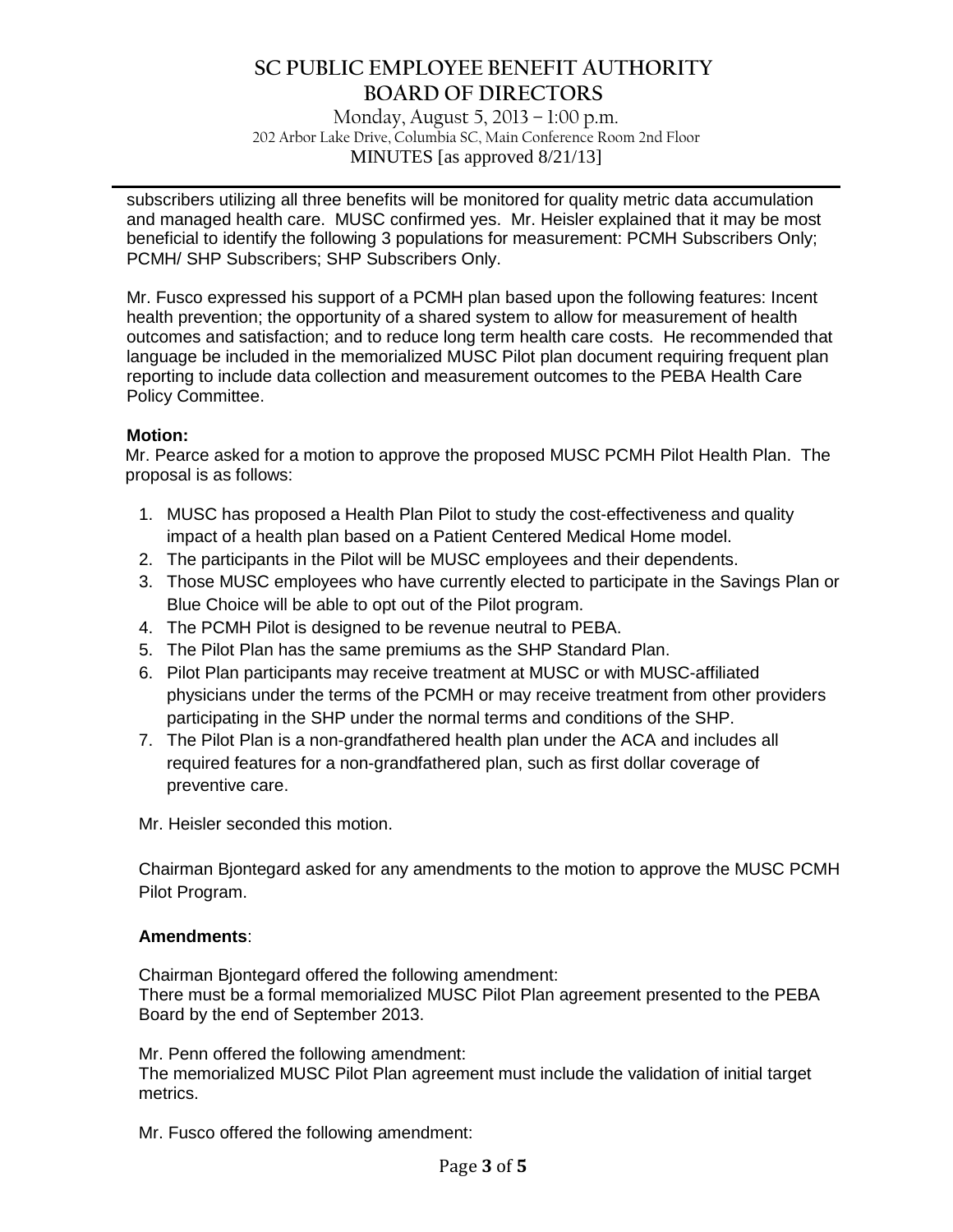Monday, August 5, 2013 – 1:00 p.m. 202 Arbor Lake Drive, Columbia SC, Main Conference Room 2nd Floor MINUTES [as approved 8/21/13]

**\_\_\_\_\_\_\_\_\_\_\_\_\_\_\_\_\_\_\_\_\_\_\_\_\_\_\_\_\_\_\_\_\_\_\_\_\_\_\_\_\_\_\_\_\_\_\_\_\_\_\_\_\_\_\_\_\_\_\_\_\_\_\_\_\_\_\_\_\_\_\_\_\_\_\_\_\_\_**

subscribers utilizing all three benefits will be monitored for quality metric data accumulation and managed health care. MUSC confirmed yes. Mr. Heisler explained that it may be most beneficial to identify the following 3 populations for measurement: PCMH Subscribers Only; PCMH/ SHP Subscribers; SHP Subscribers Only.

Mr. Fusco expressed his support of a PCMH plan based upon the following features: Incent health prevention; the opportunity of a shared system to allow for measurement of health outcomes and satisfaction; and to reduce long term health care costs. He recommended that language be included in the memorialized MUSC Pilot plan document requiring frequent plan reporting to include data collection and measurement outcomes to the PEBA Health Care Policy Committee.

### **Motion:**

Mr. Pearce asked for a motion to approve the proposed MUSC PCMH Pilot Health Plan. The proposal is as follows:

- 1. MUSC has proposed a Health Plan Pilot to study the cost-effectiveness and quality impact of a health plan based on a Patient Centered Medical Home model.
- 2. The participants in the Pilot will be MUSC employees and their dependents.
- 3. Those MUSC employees who have currently elected to participate in the Savings Plan or Blue Choice will be able to opt out of the Pilot program.
- 4. The PCMH Pilot is designed to be revenue neutral to PEBA.
- 5. The Pilot Plan has the same premiums as the SHP Standard Plan.
- 6. Pilot Plan participants may receive treatment at MUSC or with MUSC-affiliated physicians under the terms of the PCMH or may receive treatment from other providers participating in the SHP under the normal terms and conditions of the SHP.
- 7. The Pilot Plan is a non-grandfathered health plan under the ACA and includes all required features for a non-grandfathered plan, such as first dollar coverage of preventive care.

Mr. Heisler seconded this motion.

Chairman Bjontegard asked for any amendments to the motion to approve the MUSC PCMH Pilot Program.

### **Amendments**:

Chairman Bjontegard offered the following amendment: There must be a formal memorialized MUSC Pilot Plan agreement presented to the PEBA Board by the end of September 2013.

Mr. Penn offered the following amendment: The memorialized MUSC Pilot Plan agreement must include the validation of initial target metrics.

Mr. Fusco offered the following amendment: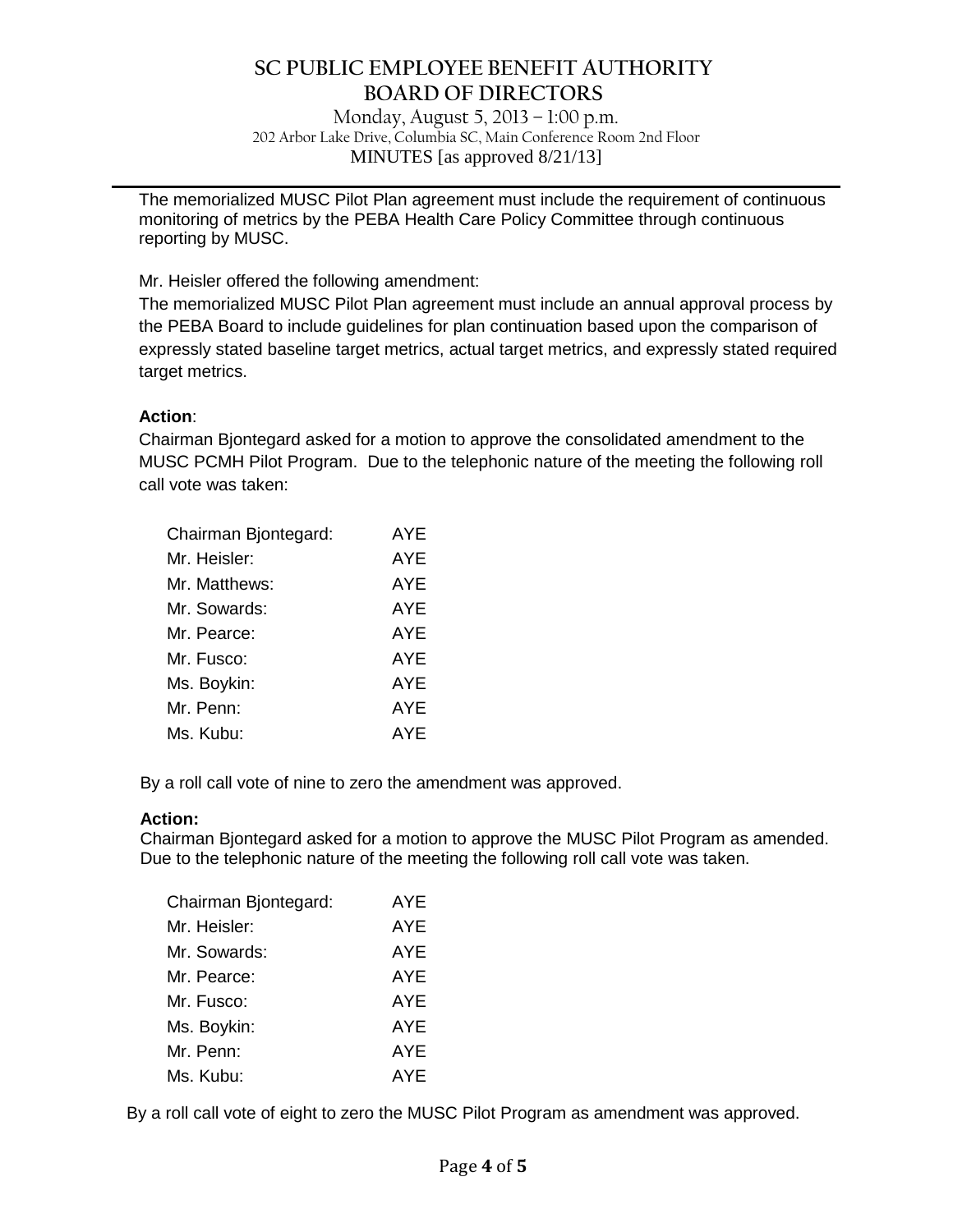Monday, August 5, 2013 – 1:00 p.m. 202 Arbor Lake Drive, Columbia SC, Main Conference Room 2nd Floor MINUTES [as approved 8/21/13]

**\_\_\_\_\_\_\_\_\_\_\_\_\_\_\_\_\_\_\_\_\_\_\_\_\_\_\_\_\_\_\_\_\_\_\_\_\_\_\_\_\_\_\_\_\_\_\_\_\_\_\_\_\_\_\_\_\_\_\_\_\_\_\_\_\_\_\_\_\_\_\_\_\_\_\_\_\_\_**

The memorialized MUSC Pilot Plan agreement must include the requirement of continuous monitoring of metrics by the PEBA Health Care Policy Committee through continuous reporting by MUSC.

Mr. Heisler offered the following amendment:

The memorialized MUSC Pilot Plan agreement must include an annual approval process by the PEBA Board to include guidelines for plan continuation based upon the comparison of expressly stated baseline target metrics, actual target metrics, and expressly stated required target metrics.

### **Action**:

Chairman Bjontegard asked for a motion to approve the consolidated amendment to the MUSC PCMH Pilot Program. Due to the telephonic nature of the meeting the following roll call vote was taken:

| Chairman Bjontegard: | <b>AYE</b> |
|----------------------|------------|
| Mr. Heisler:         | AYE        |
| Mr. Matthews:        | AYE        |
| Mr. Sowards:         | AYE        |
| Mr. Pearce:          | AYE        |
| Mr. Fusco:           | AYE        |
| Ms. Boykin:          | AYE        |
| Mr. Penn:            | <b>AYE</b> |
| Ms. Kubu:            | <b>AYE</b> |

By a roll call vote of nine to zero the amendment was approved.

### **Action:**

Chairman Bjontegard asked for a motion to approve the MUSC Pilot Program as amended. Due to the telephonic nature of the meeting the following roll call vote was taken.

| Chairman Bjontegard: | AYE        |
|----------------------|------------|
| Mr. Heisler:         | AYE        |
| Mr. Sowards:         | <b>AYE</b> |
| Mr. Pearce:          | AYE        |
| Mr. Fusco:           | AYE        |
| Ms. Boykin:          | AYE        |
| Mr. Penn:            | AYE        |
| Ms. Kubu:            | <b>AYE</b> |

By a roll call vote of eight to zero the MUSC Pilot Program as amendment was approved.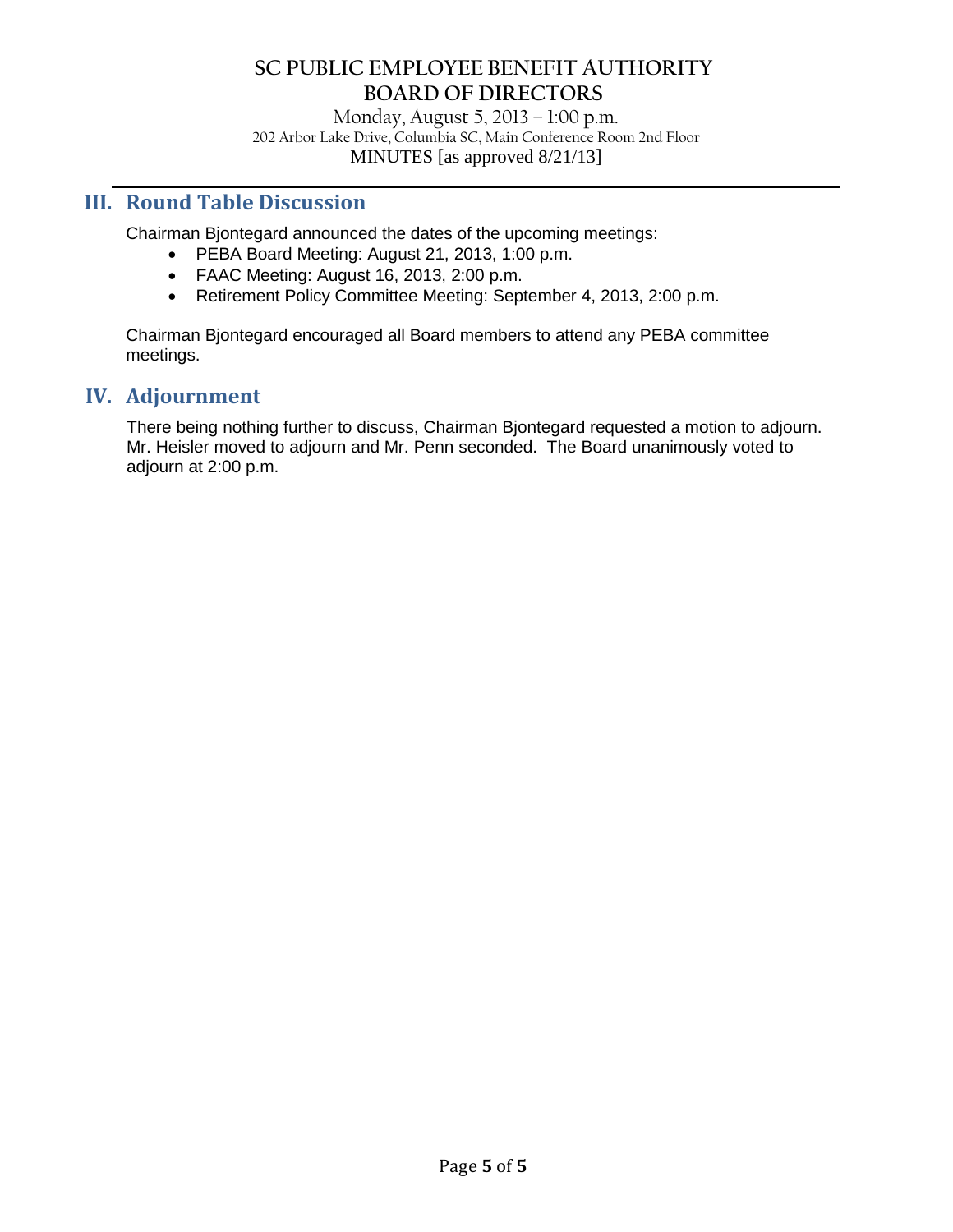Monday, August 5, 2013 – 1:00 p.m. 202 Arbor Lake Drive, Columbia SC, Main Conference Room 2nd Floor MINUTES [as approved 8/21/13]

**\_\_\_\_\_\_\_\_\_\_\_\_\_\_\_\_\_\_\_\_\_\_\_\_\_\_\_\_\_\_\_\_\_\_\_\_\_\_\_\_\_\_\_\_\_\_\_\_\_\_\_\_\_\_\_\_\_\_\_\_\_\_\_\_\_\_\_\_\_\_\_\_\_\_\_\_\_\_**

### **III. Round Table Discussion**

Chairman Bjontegard announced the dates of the upcoming meetings:

- PEBA Board Meeting: August 21, 2013, 1:00 p.m.
- FAAC Meeting: August 16, 2013, 2:00 p.m.
- Retirement Policy Committee Meeting: September 4, 2013, 2:00 p.m.

Chairman Bjontegard encouraged all Board members to attend any PEBA committee meetings.

### **IV. Adjournment**

There being nothing further to discuss, Chairman Bjontegard requested a motion to adjourn. Mr. Heisler moved to adjourn and Mr. Penn seconded. The Board unanimously voted to adjourn at 2:00 p.m.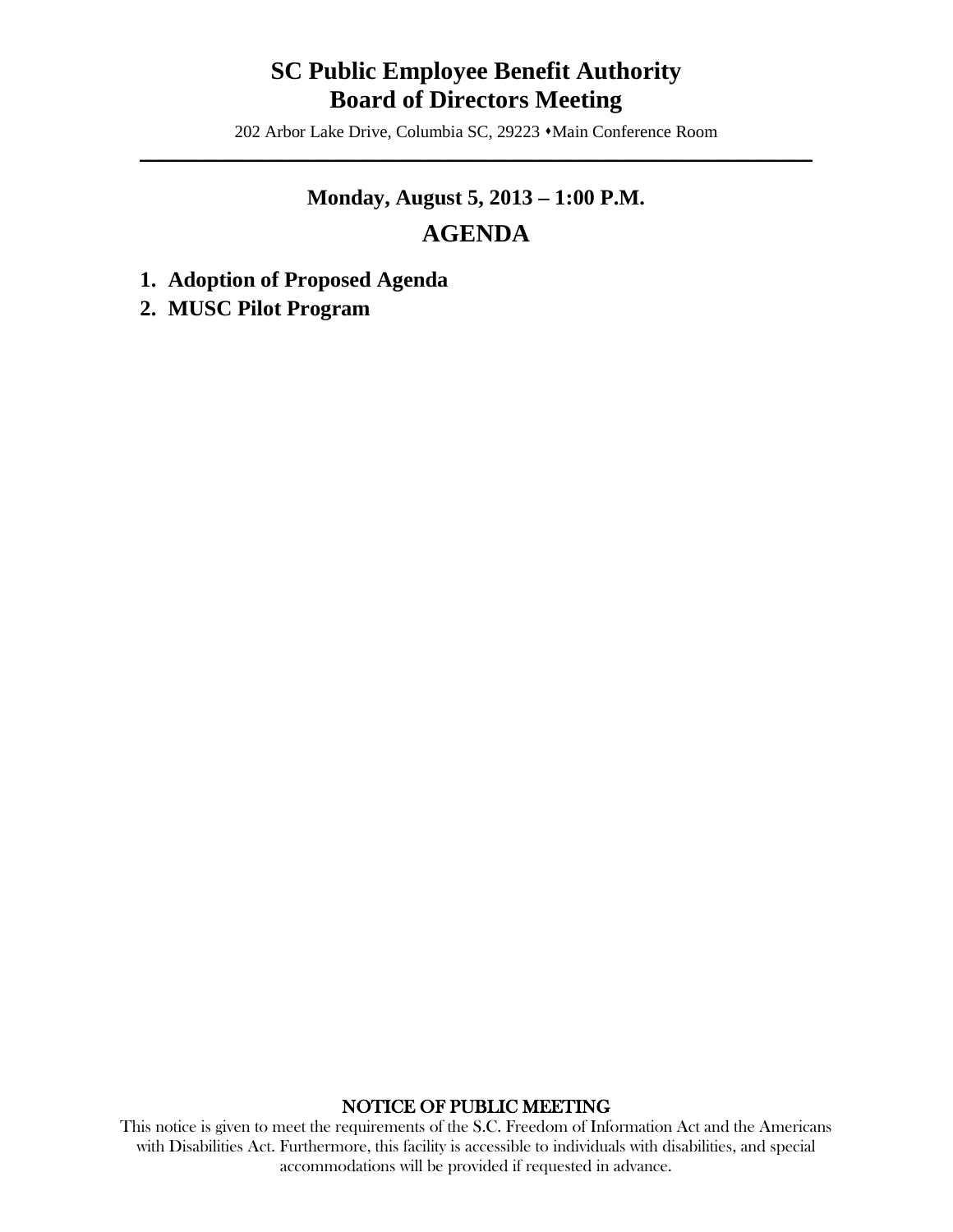## **SC Public Employee Benefit Authority Board of Directors Meeting**

202 Arbor Lake Drive, Columbia SC, 29223  $\triangleleft$ Main Conference Room  $\mathcal{L} = \{ \mathcal{L} \mid \mathcal{L} \in \mathcal{L} \}$ 

# **Monday, August 5, 2013 – 1:00 P.M. AGENDA**

- **1. Adoption of Proposed Agenda**
- **2. MUSC Pilot Program**

### NOTICE OF PUBLIC MEETING

This notice is given to meet the requirements of the S.C. Freedom of Information Act and the Americans with Disabilities Act. Furthermore, this facility is accessible to individuals with disabilities, and special accommodations will be provided if requested in advance.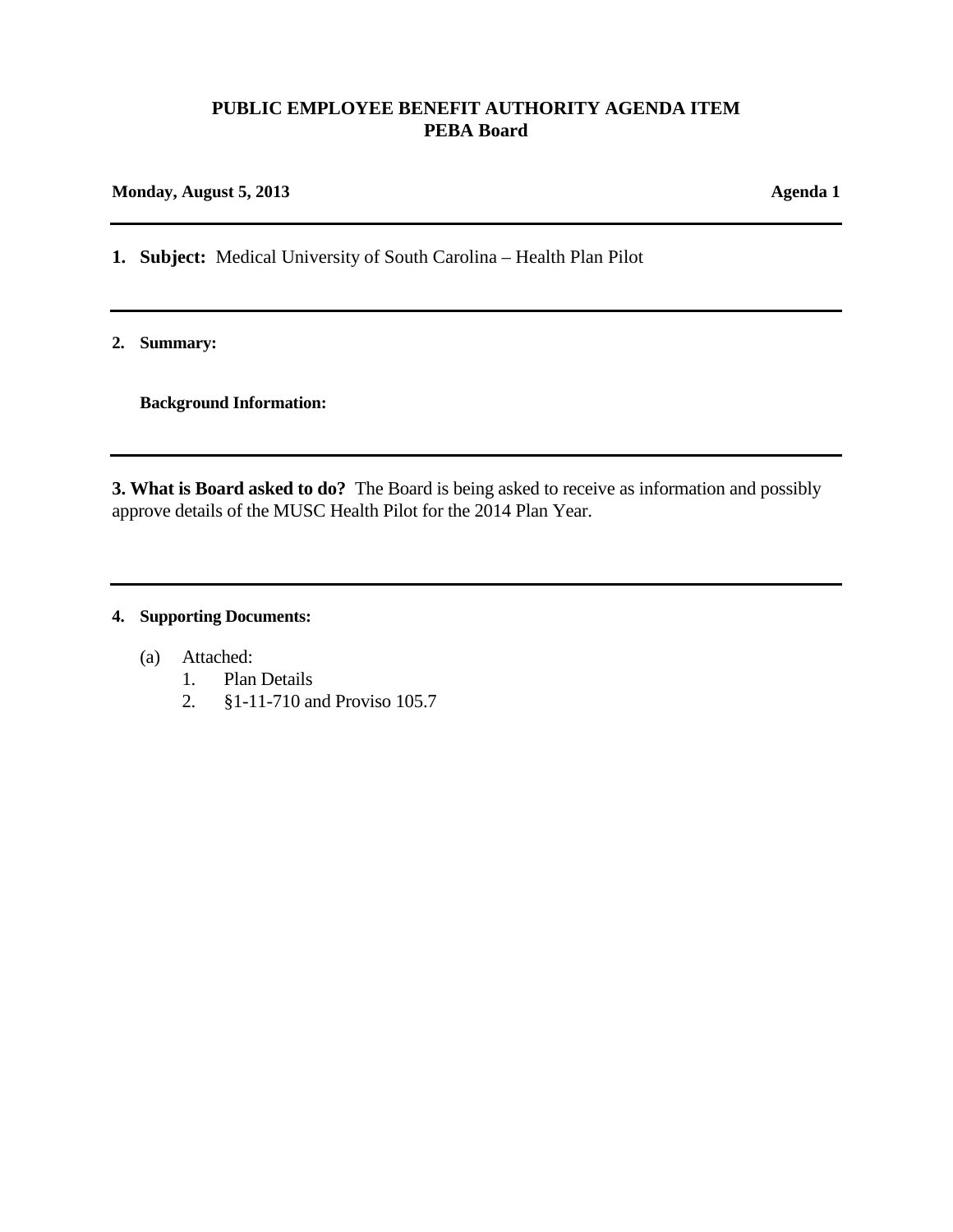### **PUBLIC EMPLOYEE BENEFIT AUTHORITY AGENDA ITEM PEBA Board**

#### **Monday, August 5, 2013 Agenda 1**

**1. Subject:** Medical University of South Carolina – Health Plan Pilot

**2. Summary:**

**Background Information:**

**3. What is Board asked to do?** The Board is being asked to receive as information and possibly approve details of the MUSC Health Pilot for the 2014 Plan Year.

### **4. Supporting Documents:**

- (a) Attached:
	- 1. Plan Details
	- 2. §1-11-710 and Proviso 105.7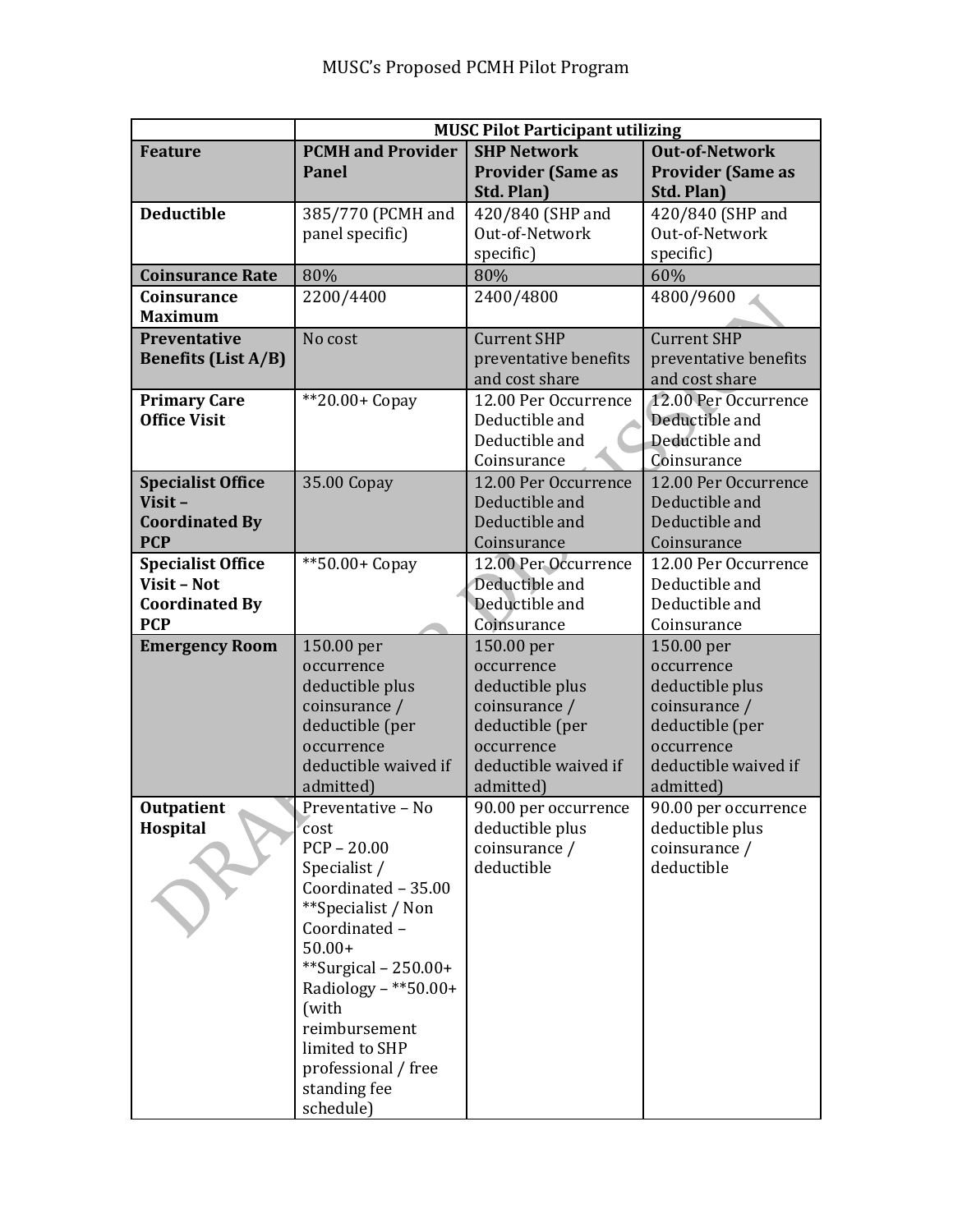|                            | <b>MUSC Pilot Participant utilizing</b> |                          |                          |  |
|----------------------------|-----------------------------------------|--------------------------|--------------------------|--|
| <b>Feature</b>             | <b>PCMH</b> and Provider                | <b>SHP Network</b>       | <b>Out-of-Network</b>    |  |
|                            | <b>Panel</b>                            | <b>Provider (Same as</b> | <b>Provider (Same as</b> |  |
|                            |                                         | Std. Plan)               | Std. Plan)               |  |
| <b>Deductible</b>          | 385/770 (PCMH and                       | 420/840 (SHP and         | 420/840 (SHP and         |  |
|                            | panel specific)                         | Out-of-Network           | Out-of-Network           |  |
|                            |                                         | specific)                | specific)                |  |
| <b>Coinsurance Rate</b>    | 80%                                     | 80%                      | 60%                      |  |
| Coinsurance                | 2200/4400                               | 2400/4800                | 4800/9600                |  |
| <b>Maximum</b>             |                                         |                          |                          |  |
| Preventative               | No cost                                 | <b>Current SHP</b>       | <b>Current SHP</b>       |  |
| <b>Benefits (List A/B)</b> |                                         | preventative benefits    | preventative benefits    |  |
|                            |                                         | and cost share           | and cost share           |  |
| <b>Primary Care</b>        | $*20.00+Copy$                           | 12.00 Per Occurrence     | 12.00 Per Occurrence     |  |
| <b>Office Visit</b>        |                                         | Deductible and           | Deductible and           |  |
|                            |                                         | Deductible and           | Deductible and           |  |
|                            |                                         | Coinsurance              | Coinsurance              |  |
| <b>Specialist Office</b>   | 35.00 Copay                             | 12.00 Per Occurrence     | 12.00 Per Occurrence     |  |
| Visit-                     |                                         | Deductible and           | Deductible and           |  |
| <b>Coordinated By</b>      |                                         | Deductible and           | Deductible and           |  |
| <b>PCP</b>                 |                                         | Coinsurance              | Coinsurance              |  |
| <b>Specialist Office</b>   | **50.00+ Copay                          | 12.00 Per Occurrence     | 12.00 Per Occurrence     |  |
| Visit - Not                |                                         | Deductible and           | Deductible and           |  |
| <b>Coordinated By</b>      |                                         | Deductible and           | Deductible and           |  |
| <b>PCP</b>                 |                                         | Coinsurance              | Coinsurance              |  |
| <b>Emergency Room</b>      | 150.00 per                              | 150.00 per               | 150.00 per               |  |
|                            | occurrence                              | occurrence               | occurrence               |  |
|                            | deductible plus                         | deductible plus          | deductible plus          |  |
|                            | coinsurance /                           | coinsurance /            | coinsurance /            |  |
|                            | deductible (per                         | deductible (per          | deductible (per          |  |
|                            | occurrence                              | occurrence               | occurrence               |  |
|                            | deductible waived if                    | deductible waived if     | deductible waived if     |  |
|                            | admitted)                               | admitted)                | admitted)                |  |
| <b>Outpatient</b>          | Preventative - No                       | 90.00 per occurrence     | 90.00 per occurrence     |  |
| Hospital                   | cost                                    | deductible plus          | deductible plus          |  |
|                            | $PCP - 20.00$                           | coinsurance /            | coinsurance /            |  |
|                            | Specialist /                            | deductible               | deductible               |  |
|                            | Coordinated - 35.00                     |                          |                          |  |
|                            | **Specialist / Non                      |                          |                          |  |
|                            | Coordinated-                            |                          |                          |  |
|                            | $50.00+$                                |                          |                          |  |
|                            | **Surgical – $250.00+$                  |                          |                          |  |
|                            | Radiology – **50.00+                    |                          |                          |  |
|                            | (with<br>reimbursement                  |                          |                          |  |
|                            | limited to SHP                          |                          |                          |  |
|                            |                                         |                          |                          |  |
|                            | professional / free<br>standing fee     |                          |                          |  |
|                            | schedule)                               |                          |                          |  |
|                            |                                         |                          |                          |  |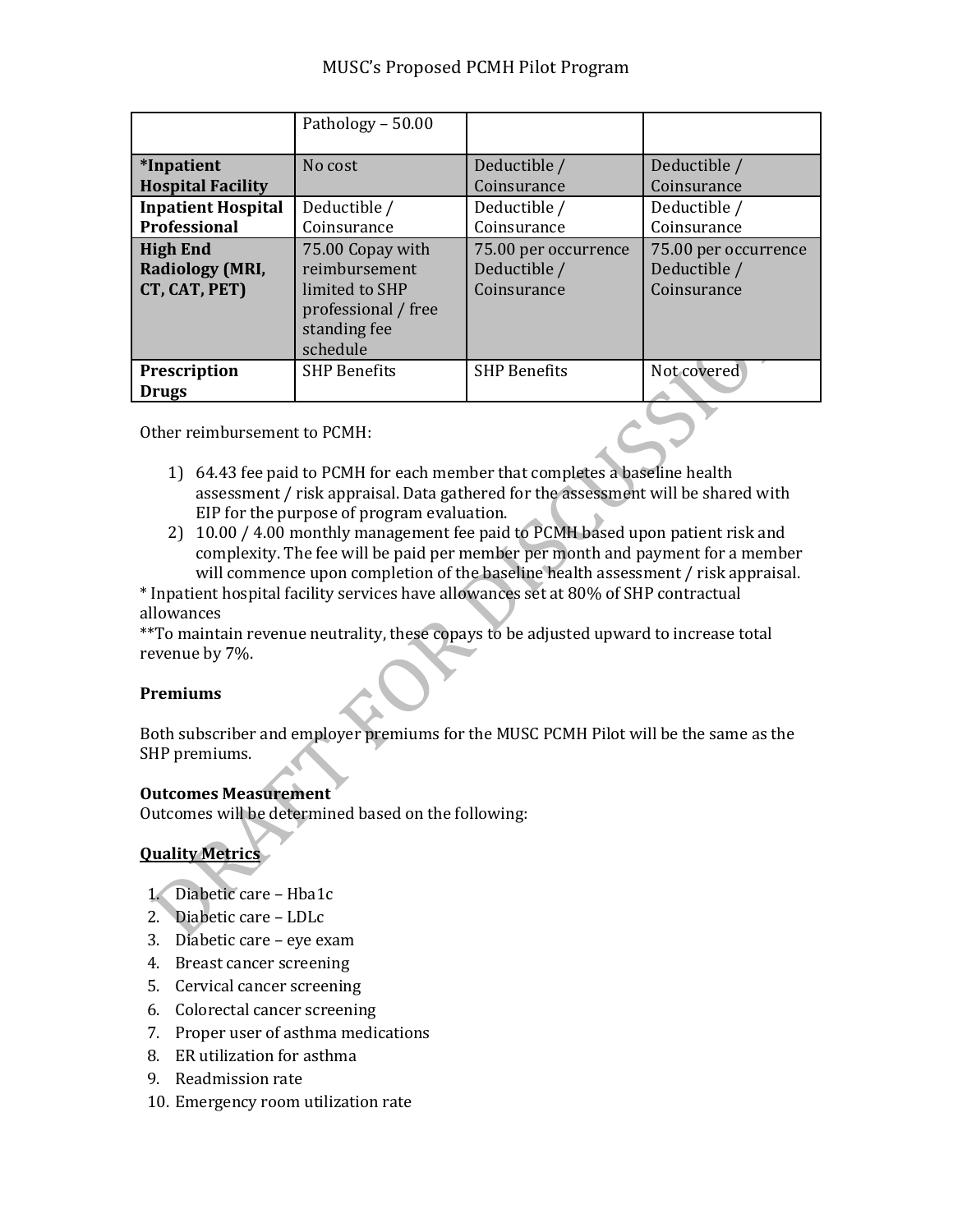### MUSC's Proposed PCMH Pilot Program

|                                                            | Pathology - 50.00                                                                                      |                                                     |                                                     |
|------------------------------------------------------------|--------------------------------------------------------------------------------------------------------|-----------------------------------------------------|-----------------------------------------------------|
| <i>*Inpatient</i><br><b>Hospital Facility</b>              | No cost                                                                                                | Deductible /<br>Coinsurance                         | Deductible /<br>Coinsurance                         |
| <b>Inpatient Hospital</b><br>Professional                  | Deductible /<br>Coinsurance                                                                            | Deductible /<br>Coinsurance                         | Deductible /<br>Coinsurance                         |
| <b>High End</b><br><b>Radiology (MRI,</b><br>CT, CAT, PET) | 75.00 Copay with<br>reimbursement<br>limited to SHP<br>professional / free<br>standing fee<br>schedule | 75.00 per occurrence<br>Deductible /<br>Coinsurance | 75.00 per occurrence<br>Deductible /<br>Coinsurance |
| Prescription<br><b>Drugs</b>                               | <b>SHP Benefits</b>                                                                                    | <b>SHP Benefits</b>                                 | Not covered                                         |

Other reimbursement to PCMH:

- 1) 64.43 fee paid to PCMH for each member that completes a baseline health assessment / risk appraisal. Data gathered for the assessment will be shared with EIP for the purpose of program evaluation.
- 2) 10.00 / 4.00 monthly management fee paid to PCMH based upon patient risk and complexity. The fee will be paid per member per month and payment for a member will commence upon completion of the baseline health assessment / risk appraisal.
- \* Inpatient hospital facility services have allowances set at 80% of SHP contractual allowances

\*\*To maintain revenue neutrality, these copays to be adjusted upward to increase total revenue by 7%.

### **Premiums**

Both subscriber and employer premiums for the MUSC PCMH Pilot will be the same as the SHP premiums.

### **Outcomes Measurement**

Outcomes will be determined based on the following:

### **Quality Metrics**

- 1. Diabetic care Hba1c
- 2. Diabetic care LDLc
- 3. Diabetic care eye exam
- 4. Breast cancer screening
- 5. Cervical cancer screening
- 6. Colorectal cancer screening
- 7. Proper user of asthma medications
- 8. ER utilization for asthma
- 9. Readmission rate
- 10. Emergency room utilization rate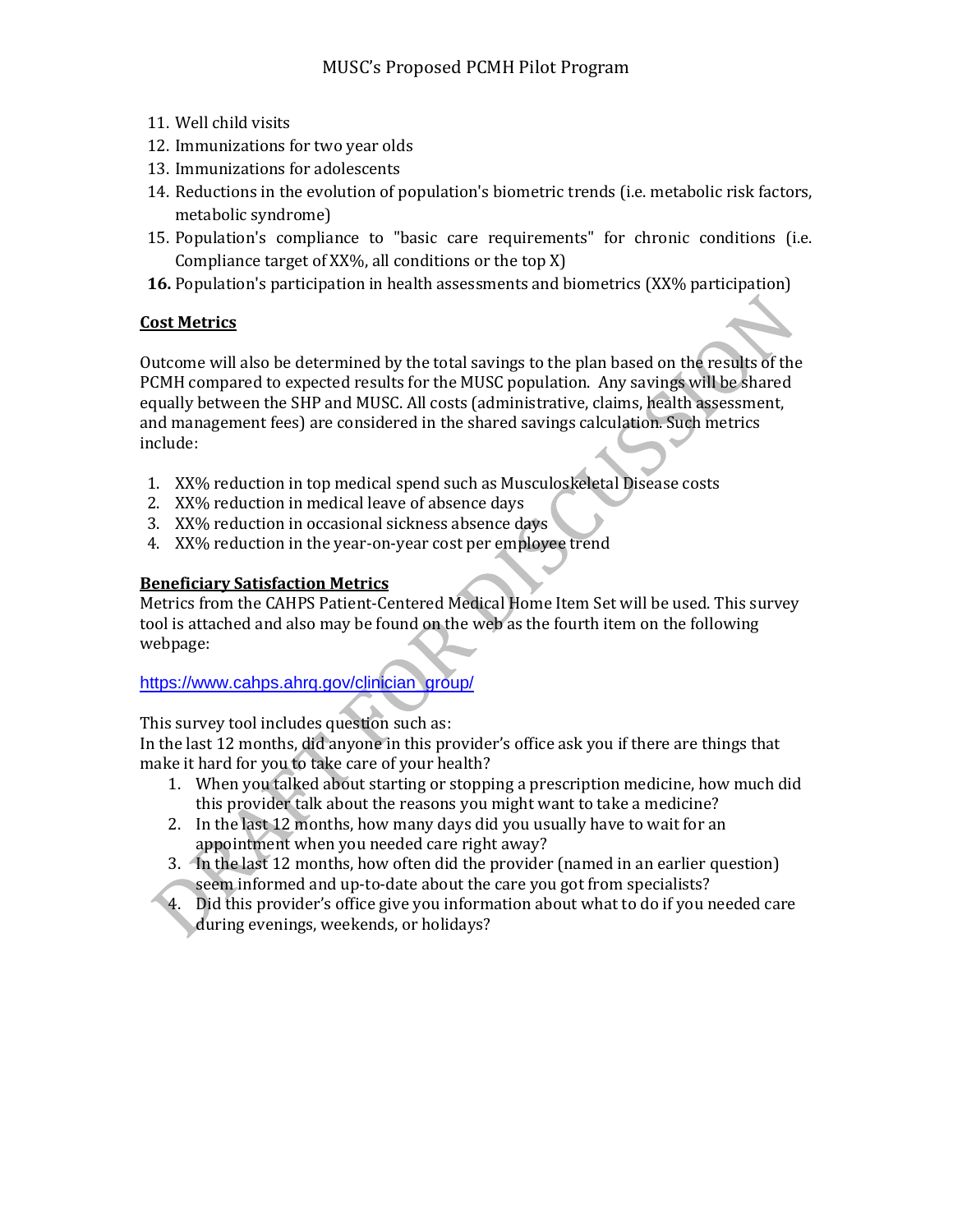- 11. Well child visits
- 12. Immunizations for two year olds
- 13. Immunizations for adolescents
- 14. Reductions in the evolution of population's biometric trends (i.e. metabolic risk factors, metabolic syndrome)
- 15. Population's compliance to "basic care requirements" for chronic conditions (i.e. Compliance target of XX%, all conditions or the top X)
- **16.** Population's participation in health assessments and biometrics (XX% participation)

### **Cost Metrics**

Outcome will also be determined by the total savings to the plan based on the results of the PCMH compared to expected results for the MUSC population. Any savings will be shared equally between the SHP and MUSC. All costs (administrative, claims, health assessment, and management fees) are considered in the shared savings calculation. Such metrics include:

- 1. XX% reduction in top medical spend such as Musculoskeletal Disease costs
- 2. XX% reduction in medical leave of absence days
- 3. XX% reduction in occasional sickness absence days
- 4. XX% reduction in the year-on-year cost per employee trend

### **Beneficiary Satisfaction Metrics**

Metrics from the CAHPS Patient-Centered Medical Home Item Set will be used. This survey tool is attached and also may be found on the web as the fourth item on the following webpage:

### [https://www.cahps.ahrq.gov/clinician\\_group/](https://www.cahps.ahrq.gov/clinician_group/)

This survey tool includes question such as:

In the last 12 months, did anyone in this provider's office ask you if there are things that make it hard for you to take care of your health?

- 1. When you talked about starting or stopping a prescription medicine, how much did this provider talk about the reasons you might want to take a medicine?
- 2. In the last 12 months, how many days did you usually have to wait for an appointment when you needed care right away?
- 3. In the last 12 months, how often did the provider (named in an earlier question) seem informed and up-to-date about the care you got from specialists?
- 4. Did this provider's office give you information about what to do if you needed care during evenings, weekends, or holidays?